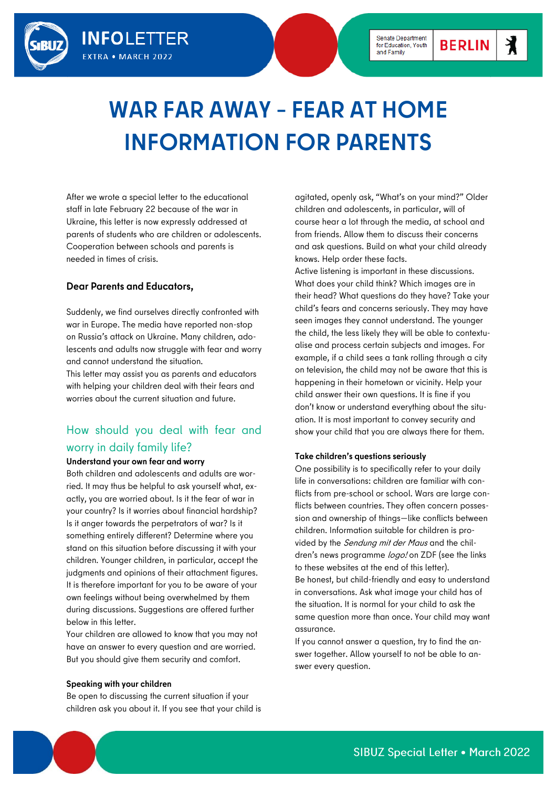

# **WAR FAR AWAY – FEAR AT HOME INFORMATION FOR PARENTS**

After we wrote a special letter to the educational staff in late February 22 because of the war in Ukraine, this letter is now expressly addressed at parents of students who are children or adolescents. Cooperation between schools and parents is needed in times of crisis.

## **Dear Parents and Educators,**

**INFOLETTER** 

**EXTRA • MARCH 2022** 

Suddenly, we find ourselves directly confronted with war in Europe. The media have reported non-stop on Russia's attack on Ukraine. Many children, adolescents and adults now struggle with fear and worry and cannot understand the situation.

This letter may assist you as parents and educators with helping your children deal with their fears and worries about the current situation and future.

# How should you deal with fear and worry in daily family life?

## **Understand your own fear and worry**

Both children and adolescents and adults are worried. It may thus be helpful to ask yourself what, exactly, you are worried about. Is it the fear of war in your country? Is it worries about financial hardship? Is it anger towards the perpetrators of war? Is it something entirely different? Determine where you stand on this situation before discussing it with your children. Younger children, in particular, accept the judgments and opinions of their attachment figures. It is therefore important for you to be aware of your own feelings without being overwhelmed by them during discussions. Suggestions are offered further below in this letter.

Your children are allowed to know that you may not have an answer to every question and are worried. But you should give them security and comfort.

#### **Speaking with your children**

Be open to discussing the current situation if your children ask you about it. If you see that your child is agitated, openly ask, "What's on your mind?" Older children and adolescents, in particular, will of course hear a lot through the media, at school and from friends. Allow them to discuss their concerns and ask questions. Build on what your child already knows. Help order these facts.

Active listening is important in these discussions. What does your child think? Which images are in their head? What questions do they have? Take your child's fears and concerns seriously. They may have seen images they cannot understand. The younger the child, the less likely they will be able to contextualise and process certain subjects and images. For example, if a child sees a tank rolling through a city on television, the child may not be aware that this is happening in their hometown or vicinity. Help your child answer their own questions. It is fine if you don't know or understand everything about the situation. It is most important to convey security and show your child that you are always there for them.

#### **Take children's questions seriously**

One possibility is to specifically refer to your daily life in conversations: children are familiar with conflicts from pre-school or school. Wars are large conflicts between countries. They often concern possession and ownership of things—like conflicts between children. Information suitable for children is provided by the Sendung mit der Maus and the children's news programme logo! on ZDF (see the links to these websites at the end of this letter). Be honest, but child-friendly and easy to understand in conversations. Ask what image your child has of the situation. It is normal for your child to ask the same question more than once. Your child may want

assurance. If you cannot answer a question, try to find the answer together. Allow yourself to not be able to an-

swer every question.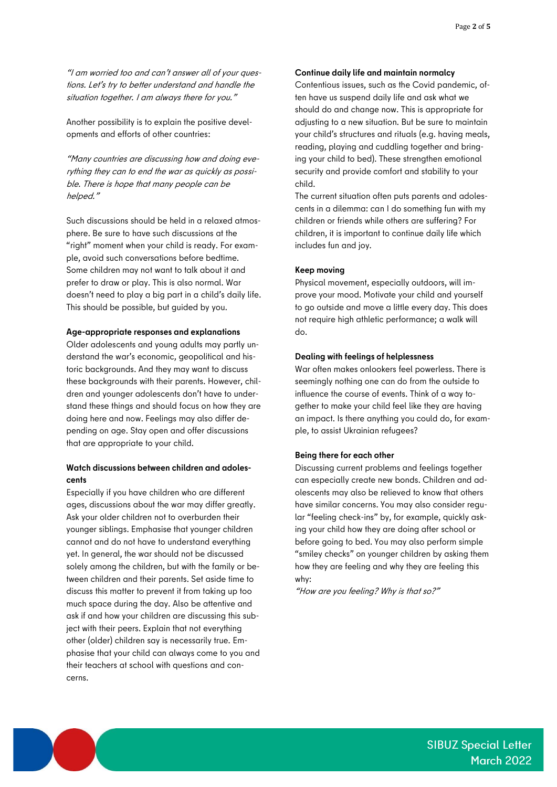"I am worried too and can't answer all of your questions. Let's try to better understand and handle the situation together. I am always there for you."

Another possibility is to explain the positive developments and efforts of other countries:

"Many countries are discussing how and doing everything they can to end the war as quickly as possible. There is hope that many people can be helped."

Such discussions should be held in a relaxed atmosphere. Be sure to have such discussions at the "right" moment when your child is ready. For example, avoid such conversations before bedtime. Some children may not want to talk about it and prefer to draw or play. This is also normal. War doesn't need to play a big part in a child's daily life. This should be possible, but guided by you.

## **Age-appropriate responses and explanations**

Older adolescents and young adults may partly understand the war's economic, geopolitical and historic backgrounds. And they may want to discuss these backgrounds with their parents. However, children and younger adolescents don't have to understand these things and should focus on how they are doing here and now. Feelings may also differ depending on age. Stay open and offer discussions that are appropriate to your child.

## **Watch discussions between children and adolescents**

Especially if you have children who are different ages, discussions about the war may differ greatly. Ask your older children not to overburden their younger siblings. Emphasise that younger children cannot and do not have to understand everything yet. In general, the war should not be discussed solely among the children, but with the family or between children and their parents. Set aside time to discuss this matter to prevent it from taking up too much space during the day. Also be attentive and ask if and how your children are discussing this subject with their peers. Explain that not everything other (older) children say is necessarily true. Emphasise that your child can always come to you and their teachers at school with questions and concerns.

## **Continue daily life and maintain normalcy**

Contentious issues, such as the Covid pandemic, often have us suspend daily life and ask what we should do and change now. This is appropriate for adjusting to a new situation. But be sure to maintain your child's structures and rituals (e.g. having meals, reading, playing and cuddling together and bringing your child to bed). These strengthen emotional security and provide comfort and stability to your child.

The current situation often puts parents and adolescents in a dilemma: can I do something fun with my children or friends while others are suffering? For children, it is important to continue daily life which includes fun and joy.

## **Keep moving**

Physical movement, especially outdoors, will improve your mood. Motivate your child and yourself to go outside and move a little every day. This does not require high athletic performance; a walk will do.

## **Dealing with feelings of helplessness**

War often makes onlookers feel powerless. There is seemingly nothing one can do from the outside to influence the course of events. Think of a way together to make your child feel like they are having an impact. Is there anything you could do, for example, to assist Ukrainian refugees?

#### **Being there for each other**

Discussing current problems and feelings together can especially create new bonds. Children and adolescents may also be relieved to know that others have similar concerns. You may also consider regular "feeling check-ins" by, for example, quickly asking your child how they are doing after school or before going to bed. You may also perform simple "smiley checks" on younger children by asking them how they are feeling and why they are feeling this why:

"How are you feeling? Why is that so?"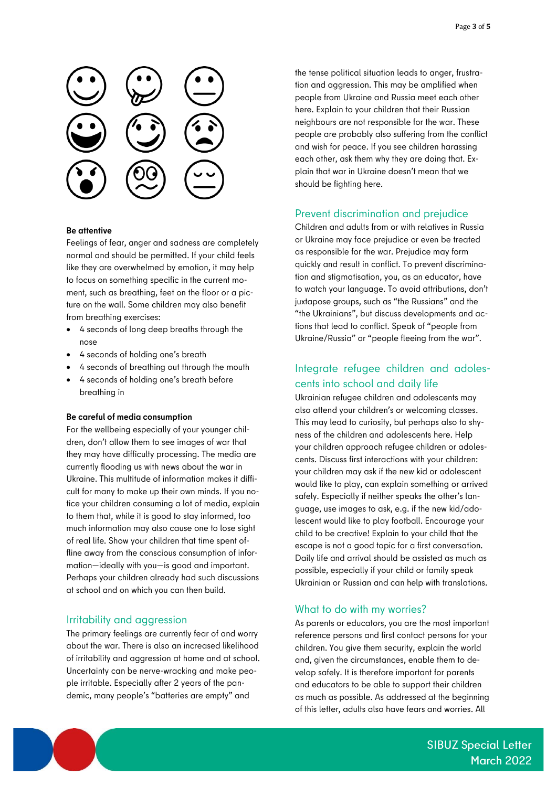

## **Be attentive**

Feelings of fear, anger and sadness are completely normal and should be permitted. If your child feels like they are overwhelmed by emotion, it may help to focus on something specific in the current moment, such as breathing, feet on the floor or a picture on the wall. Some children may also benefit from breathing exercises:

- 4 seconds of long deep breaths through the nose
- 4 seconds of holding one's breath
- 4 seconds of breathing out through the mouth
- 4 seconds of holding one's breath before breathing in

## **Be careful of media consumption**

For the wellbeing especially of your younger children, don't allow them to see images of war that they may have difficulty processing. The media are currently flooding us with news about the war in Ukraine. This multitude of information makes it difficult for many to make up their own minds. If you notice your children consuming a lot of media, explain to them that, while it is good to stay informed, too much information may also cause one to lose sight of real life. Show your children that time spent offline away from the conscious consumption of information—ideally with you—is good and important. Perhaps your children already had such discussions at school and on which you can then build.

## Irritability and aggression

The primary feelings are currently fear of and worry about the war. There is also an increased likelihood of irritability and aggression at home and at school. Uncertainty can be nerve-wracking and make people irritable. Especially after 2 years of the pandemic, many people's "batteries are empty" and

the tense political situation leads to anger, frustration and aggression. This may be amplified when people from Ukraine and Russia meet each other here. Explain to your children that their Russian neighbours are not responsible for the war. These people are probably also suffering from the conflict and wish for peace. If you see children harassing each other, ask them why they are doing that. Explain that war in Ukraine doesn't mean that we should be fighting here.

## Prevent discrimination and prejudice

Children and adults from or with relatives in Russia or Ukraine may face prejudice or even be treated as responsible for the war. Prejudice may form quickly and result in conflict. To prevent discrimination and stigmatisation, you, as an educator, have to watch your language. To avoid attributions, don't juxtapose groups, such as "the Russians" and the "the Ukrainians", but discuss developments and actions that lead to conflict. Speak of "people from Ukraine/Russia" or "people fleeing from the war".

## Integrate refugee children and adolescents into school and daily life

Ukrainian refugee children and adolescents may also attend your children's or welcoming classes. This may lead to curiosity, but perhaps also to shyness of the children and adolescents here. Help your children approach refugee children or adolescents. Discuss first interactions with your children: your children may ask if the new kid or adolescent would like to play, can explain something or arrived safely. Especially if neither speaks the other's language, use images to ask, e.g. if the new kid/adolescent would like to play football. Encourage your child to be creative! Explain to your child that the escape is not a good topic for a first conversation. Daily life and arrival should be assisted as much as possible, especially if your child or family speak Ukrainian or Russian and can help with translations.

## What to do with my worries?

As parents or educators, you are the most important reference persons and first contact persons for your children. You give them security, explain the world and, given the circumstances, enable them to develop safely. It is therefore important for parents and educators to be able to support their children as much as possible. As addressed at the beginning of this letter, adults also have fears and worries. All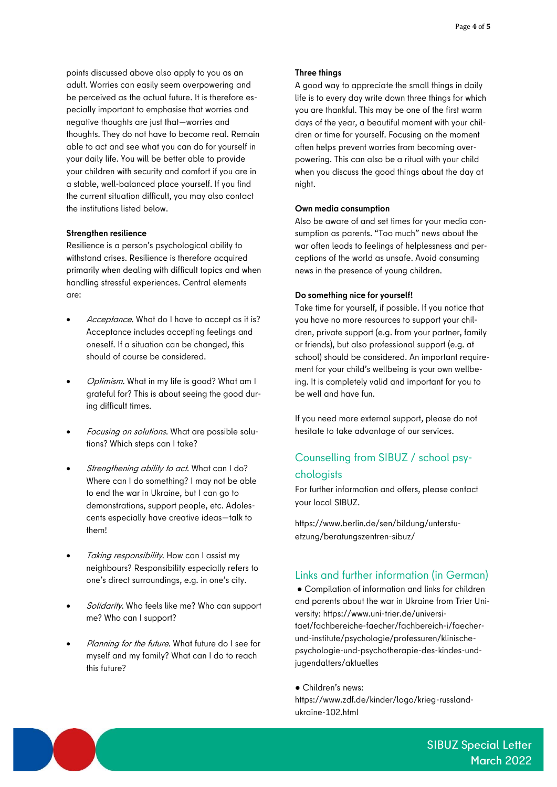points discussed above also apply to you as an adult. Worries can easily seem overpowering and be perceived as the actual future. It is therefore especially important to emphasise that worries and negative thoughts are just that—worries and thoughts. They do not have to become real. Remain able to act and see what you can do for yourself in your daily life. You will be better able to provide your children with security and comfort if you are in a stable, well-balanced place yourself. If you find the current situation difficult, you may also contact the institutions listed below.

#### **Strengthen resilience**

Resilience is a person's psychological ability to withstand crises. Resilience is therefore acquired primarily when dealing with difficult topics and when handling stressful experiences. Central elements are:

- Acceptance. What do I have to accept as it is? Acceptance includes accepting feelings and oneself. If a situation can be changed, this should of course be considered.
- Optimism. What in my life is good? What am I grateful for? This is about seeing the good during difficult times.
- Focusing on solutions. What are possible solutions? Which steps can I take?
- Strengthening ability to act. What can I do? Where can I do something? I may not be able to end the war in Ukraine, but I can go to demonstrations, support people, etc. Adolescents especially have creative ideas—talk to them!
- Taking responsibility. How can I assist my neighbours? Responsibility especially refers to one's direct surroundings, e.g. in one's city.
- Solidarity. Who feels like me? Who can support me? Who can I support?
- Planning for the future. What future do I see for myself and my family? What can I do to reach this future?

#### **Three things**

A good way to appreciate the small things in daily life is to every day write down three things for which you are thankful. This may be one of the first warm days of the year, a beautiful moment with your children or time for yourself. Focusing on the moment often helps prevent worries from becoming overpowering. This can also be a ritual with your child when you discuss the good things about the day at night.

## **Own media consumption**

Also be aware of and set times for your media consumption as parents. "Too much" news about the war often leads to feelings of helplessness and perceptions of the world as unsafe. Avoid consuming news in the presence of young children.

#### **Do something nice for yourself!**

Take time for yourself, if possible. If you notice that you have no more resources to support your children, private support (e.g. from your partner, family or friends), but also professional support (e.g. at school) should be considered. An important requirement for your child's wellbeing is your own wellbeing. It is completely valid and important for you to be well and have fun.

If you need more external support, please do not hesitate to take advantage of our services.

# Counselling from SIBUZ / school psy**chologists**

For further information and offers, please contact your local SIBUZ.

https://www.berlin.de/sen/bildung/unterstuetzung/beratungszentren-sibuz/

## Links and further information (in German)

● Compilation of information and links for children and parents about the war in Ukraine from Trier University: https://www.uni-trier.de/universitaet/fachbereiche-faecher/fachbereich-i/faecherund-institute/psychologie/professuren/klinischepsychologie-und-psychotherapie-des-kindes-undjugendalters/aktuelles

#### ● Children's news:

https://www.zdf.de/kinder/logo/krieg-russlandukraine-102.html